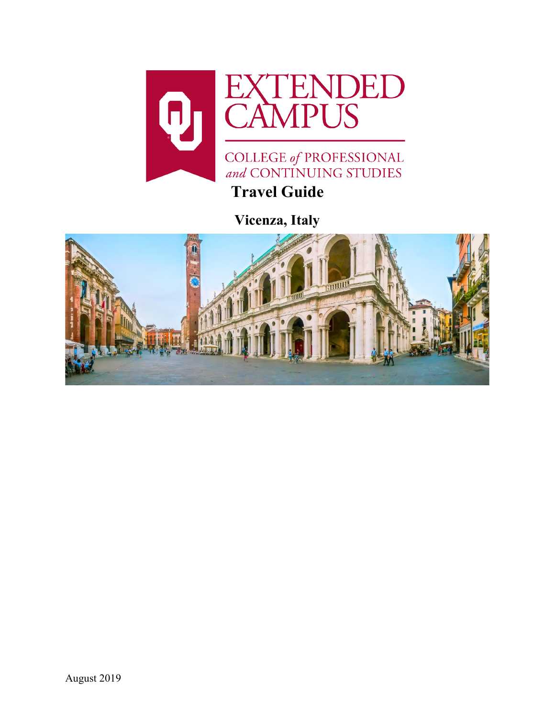

**Vicenza, Italy**

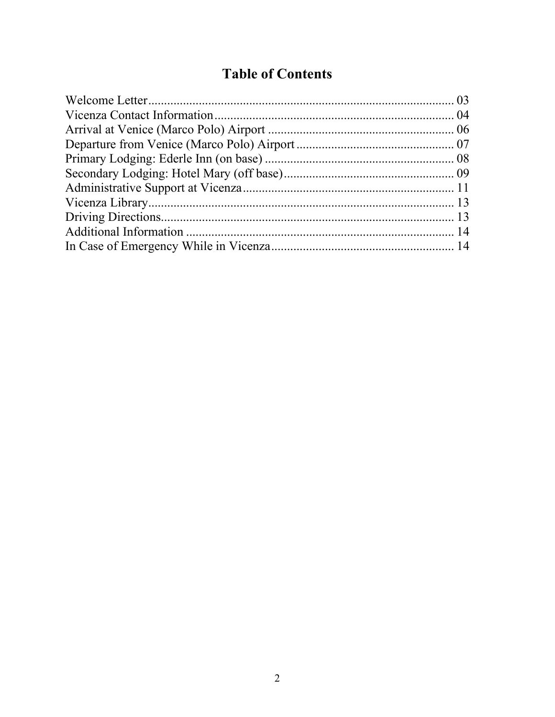# **Table of Contents**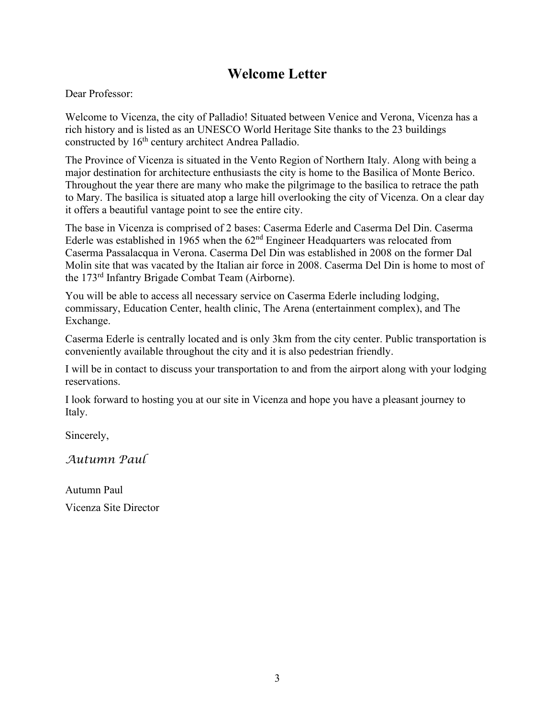## **Welcome Letter**

Dear Professor:

Welcome to Vicenza, the city of Palladio! Situated between Venice and Verona, Vicenza has a rich history and is listed as an UNESCO World Heritage Site thanks to the 23 buildings constructed by 16<sup>th</sup> century architect Andrea Palladio.

The Province of Vicenza is situated in the Vento Region of Northern Italy. Along with being a major destination for architecture enthusiasts the city is home to the Basilica of Monte Berico. Throughout the year there are many who make the pilgrimage to the basilica to retrace the path to Mary. The basilica is situated atop a large hill overlooking the city of Vicenza. On a clear day it offers a beautiful vantage point to see the entire city.

The base in Vicenza is comprised of 2 bases: Caserma Ederle and Caserma Del Din. Caserma Ederle was established in 1965 when the  $62<sup>nd</sup>$  Engineer Headquarters was relocated from Caserma Passalacqua in Verona. Caserma Del Din was established in 2008 on the former Dal Molin site that was vacated by the Italian air force in 2008. Caserma Del Din is home to most of the 173rd Infantry Brigade Combat Team (Airborne).

You will be able to access all necessary service on Caserma Ederle including lodging, commissary, Education Center, health clinic, The Arena (entertainment complex), and The Exchange.

Caserma Ederle is centrally located and is only 3km from the city center. Public transportation is conveniently available throughout the city and it is also pedestrian friendly.

I will be in contact to discuss your transportation to and from the airport along with your lodging reservations.

I look forward to hosting you at our site in Vicenza and hope you have a pleasant journey to Italy.

Sincerely,

*Autumn Paul*

Autumn Paul Vicenza Site Director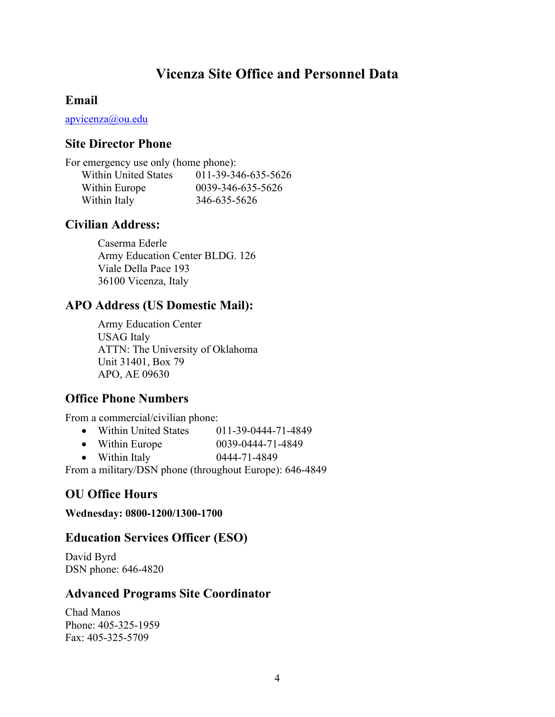## **Vicenza Site Office and Personnel Data**

#### **Email**

[apvicenza@ou.edu](mailto:apvicenza@ou.edu)

#### **Site Director Phone**

| For emergency use only (home phone): |                     |  |
|--------------------------------------|---------------------|--|
| <b>Within United States</b>          | 011-39-346-635-5626 |  |
| Within Europe                        | 0039-346-635-5626   |  |
| Within Italy                         | 346-635-5626        |  |

## **Civilian Address:**

Caserma Ederle Army Education Center BLDG. 126 Viale Della Pace 193 36100 Vicenza, Italy

## **APO Address (US Domestic Mail):**

Army Education Center USAG Italy ATTN: The University of Oklahoma Unit 31401, Box 79 APO, AE 09630

## **Office Phone Numbers**

From a commercial/civilian phone:

- Within United States 011-39-0444-71-4849
- Within Europe  $0039-0444-71-4849$
- Within Italy 0444-71-4849

From a military/DSN phone (throughout Europe): 646-4849

## **OU Office Hours**

**Wednesday: 0800-1200/1300-1700**

#### **Education Services Officer (ESO)**

David Byrd DSN phone: 646-4820

## **Advanced Programs Site Coordinator**

Chad Manos Phone: 405-325-1959 Fax: 405-325-5709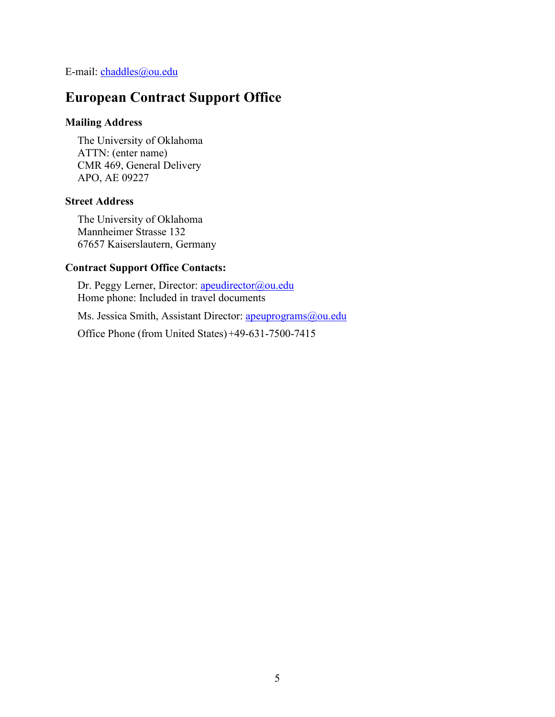E-mail: [chaddles@ou.edu](mailto:chaddles@ou.edu)

## **European Contract Support Office**

#### **Mailing Address**

The University of Oklahoma ATTN: (enter name) CMR 469, General Delivery APO, AE 09227

#### **Street Address**

The University of Oklahoma Mannheimer Strasse 132 67657 Kaiserslautern, Germany

#### **Contract Support Office Contacts:**

Dr. Peggy Lerner, Director: [apeudirector@ou.edu](mailto:apeudirector@ou.edu) Home phone: Included in travel documents

Ms. Jessica Smith, Assistant Director: [apeuprograms@ou.edu](mailto:apeuprograms@ou.edu)

Office Phone (from United States)+49-631-7500-7415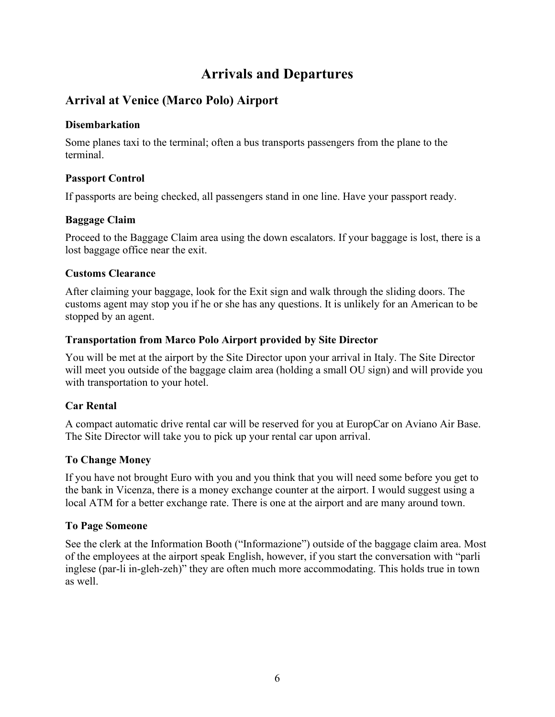## **Arrivals and Departures**

## **Arrival at Venice (Marco Polo) Airport**

#### **Disembarkation**

Some planes taxi to the terminal; often a bus transports passengers from the plane to the terminal.

#### **Passport Control**

If passports are being checked, all passengers stand in one line. Have your passport ready.

#### **Baggage Claim**

Proceed to the Baggage Claim area using the down escalators. If your baggage is lost, there is a lost baggage office near the exit.

#### **Customs Clearance**

After claiming your baggage, look for the Exit sign and walk through the sliding doors. The customs agent may stop you if he or she has any questions. It is unlikely for an American to be stopped by an agent.

#### **Transportation from Marco Polo Airport provided by Site Director**

You will be met at the airport by the Site Director upon your arrival in Italy. The Site Director will meet you outside of the baggage claim area (holding a small OU sign) and will provide you with transportation to your hotel.

#### **Car Rental**

A compact automatic drive rental car will be reserved for you at EuropCar on Aviano Air Base. The Site Director will take you to pick up your rental car upon arrival.

#### **To Change Money**

If you have not brought Euro with you and you think that you will need some before you get to the bank in Vicenza, there is a money exchange counter at the airport. I would suggest using a local ATM for a better exchange rate. There is one at the airport and are many around town.

#### **To Page Someone**

See the clerk at the Information Booth ("Informazione") outside of the baggage claim area. Most of the employees at the airport speak English, however, if you start the conversation with "parli inglese (par-li in-gleh-zeh)" they are often much more accommodating. This holds true in town as well.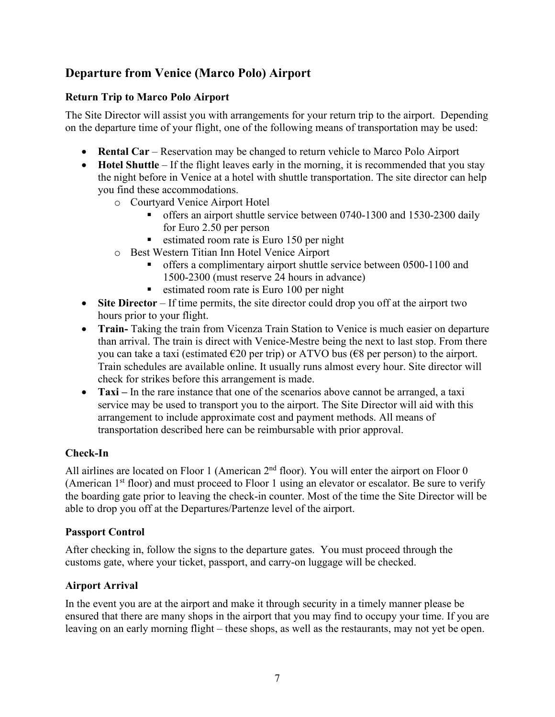## **Departure from Venice (Marco Polo) Airport**

#### **Return Trip to Marco Polo Airport**

The Site Director will assist you with arrangements for your return trip to the airport. Depending on the departure time of your flight, one of the following means of transportation may be used:

- **Rental Car** Reservation may be changed to return vehicle to Marco Polo Airport
- **Hotel Shuttle** If the flight leaves early in the morning, it is recommended that you stay the night before in Venice at a hotel with shuttle transportation. The site director can help you find these accommodations.
	- o Courtyard Venice Airport Hotel
		- offers an airport shuttle service between 0740-1300 and 1530-2300 daily for Euro 2.50 per person
		- estimated room rate is Euro 150 per night
	- o Best Western Titian Inn Hotel Venice Airport
		- offers a complimentary airport shuttle service between 0500-1100 and 1500-2300 (must reserve 24 hours in advance)
		- $\blacksquare$  estimated room rate is Euro 100 per night
- **Site Director** If time permits, the site director could drop you off at the airport two hours prior to your flight.
- **Train-** Taking the train from Vicenza Train Station to Venice is much easier on departure than arrival. The train is direct with Venice-Mestre being the next to last stop. From there you can take a taxi (estimated  $\epsilon$ 20 per trip) or ATVO bus ( $\epsilon$ 8 per person) to the airport. Train schedules are available online. It usually runs almost every hour. Site director will check for strikes before this arrangement is made.
- **Taxi** In the rare instance that one of the scenarios above cannot be arranged, a taxi service may be used to transport you to the airport. The Site Director will aid with this arrangement to include approximate cost and payment methods. All means of transportation described here can be reimbursable with prior approval.

#### **Check-In**

All airlines are located on Floor 1 (American  $2<sup>nd</sup>$  floor). You will enter the airport on Floor 0 (American  $1<sup>st</sup>$  floor) and must proceed to Floor 1 using an elevator or escalator. Be sure to verify the boarding gate prior to leaving the check-in counter. Most of the time the Site Director will be able to drop you off at the Departures/Partenze level of the airport.

#### **Passport Control**

After checking in, follow the signs to the departure gates. You must proceed through the customs gate, where your ticket, passport, and carry-on luggage will be checked.

#### **Airport Arrival**

In the event you are at the airport and make it through security in a timely manner please be ensured that there are many shops in the airport that you may find to occupy your time. If you are leaving on an early morning flight – these shops, as well as the restaurants, may not yet be open.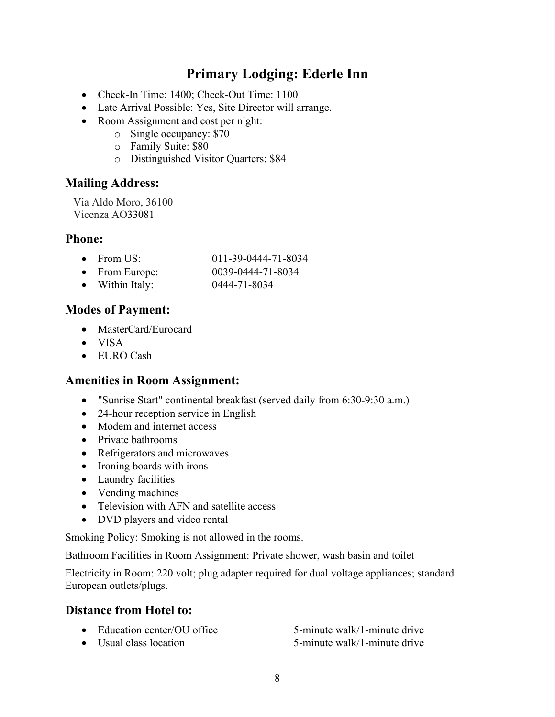## **Primary Lodging: Ederle Inn**

- Check-In Time: 1400; Check-Out Time: 1100
- Late Arrival Possible: Yes, Site Director will arrange.
- Room Assignment and cost per night:
	- o Single occupancy: \$70
	- o Family Suite: \$80
	- o Distinguished Visitor Quarters: \$84

## **Mailing Address:**

Via Aldo Moro, 36100 Vicenza AO33081

#### **Phone:**

| From US:         | 011-39-0444-71-8034 |
|------------------|---------------------|
| $From$ $Eurone'$ | 0030 0444 71 8034   |

- From Europe: 0039-0444-71-8034
- Within Italy: 0444-71-8034

## **Modes of Payment:**

- MasterCard/Eurocard
- VISA
- EURO Cash

## **Amenities in Room Assignment:**

- "Sunrise Start" continental breakfast (served daily from 6:30-9:30 a.m.)
- 24-hour reception service in English
- Modem and internet access
- Private bathrooms
- Refrigerators and microwaves
- Ironing boards with irons
- Laundry facilities
- Vending machines
- Television with AFN and satellite access
- DVD players and video rental

Smoking Policy: Smoking is not allowed in the rooms.

Bathroom Facilities in Room Assignment: Private shower, wash basin and toilet

Electricity in Room: 220 volt; plug adapter required for dual voltage appliances; standard European outlets/plugs.

## **Distance from Hotel to:**

- Education center/OU office 5-minute walk/1-minute drive
- Usual class location 5-minute walk/1-minute drive
	- 8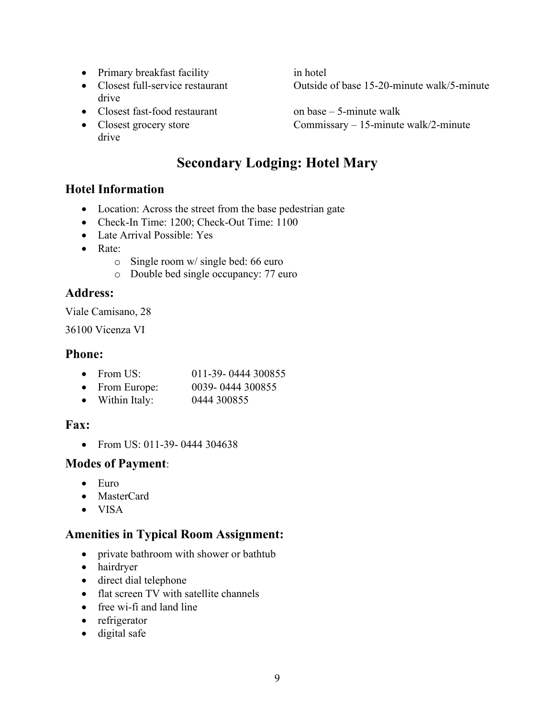- Primary breakfast facility in hotel
- drive
- Closest fast-food restaurant on base 5-minute walk
- drive

• Closest full-service restaurant Outside of base 15-20-minute walk/5-minute

• Closest grocery store Commissary – 15-minute walk/2-minute

## **Secondary Lodging: Hotel Mary**

## **Hotel Information**

- Location: Across the street from the base pedestrian gate
- Check-In Time: 1200; Check-Out Time: 1100
- Late Arrival Possible: Yes
- Rate:
	- o Single room w/ single bed: 66 euro
	- o Double bed single occupancy: 77 euro

## **Address:**

Viale Camisano, 28

36100 Vicenza VI

#### **Phone:**

- From US: 011-39- 0444 300855
- From Europe: 0039- 0444 300855
- Within Italy: 0444 300855

## **Fax:**

• From US: 011-39-0444 304638

#### **Modes of Payment**:

- Euro
- MasterCard
- VISA

## **Amenities in Typical Room Assignment:**

- private bathroom with shower or bathtub
- hairdryer
- direct dial telephone
- flat screen TV with satellite channels
- free wi-fi and land line
- refrigerator
- digital safe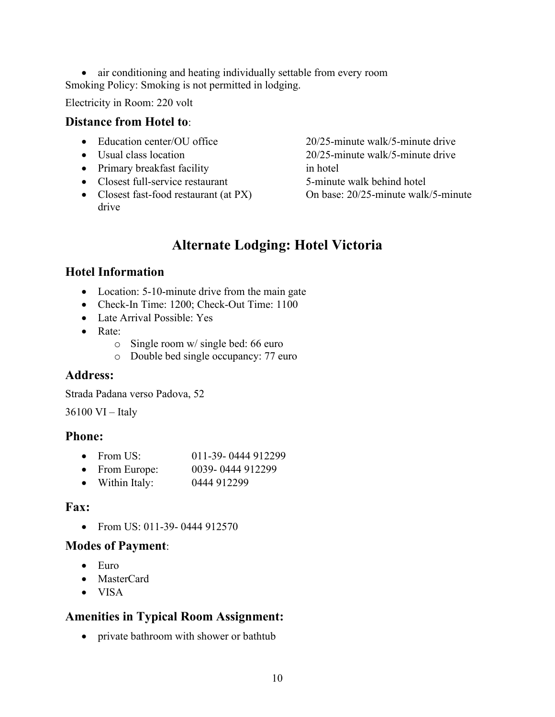• air conditioning and heating individually settable from every room Smoking Policy: Smoking is not permitted in lodging.

Electricity in Room: 220 volt

#### **Distance from Hotel to**:

- 
- 
- Primary breakfast facility in hotel
- Closest full-service restaurant 5-minute walk behind hotel
- Closest fast-food restaurant (at PX) On base: 20/25-minute walk/5-minute drive

• Education center/OU office 20/25-minute walk/5-minute drive • Usual class location 20/25-minute walk/5-minute drive

## **Alternate Lodging: Hotel Victoria**

#### **Hotel Information**

- Location: 5-10-minute drive from the main gate
- Check-In Time: 1200; Check-Out Time: 1100
- Late Arrival Possible: Yes
- Rate:
	- o Single room w/ single bed: 66 euro
	- o Double bed single occupancy: 77 euro

#### **Address:**

Strada Padana verso Padova, 52

36100 VI – Italy

#### **Phone:**

- From US: 011-39- 0444 912299
- From Europe: 0039- 0444 912299
- Within Italy: 0444 912299

#### **Fax:**

• From US: 011-39-0444 912570

#### **Modes of Payment**:

- Euro
- MasterCard
- VISA

## **Amenities in Typical Room Assignment:**

• private bathroom with shower or bathtub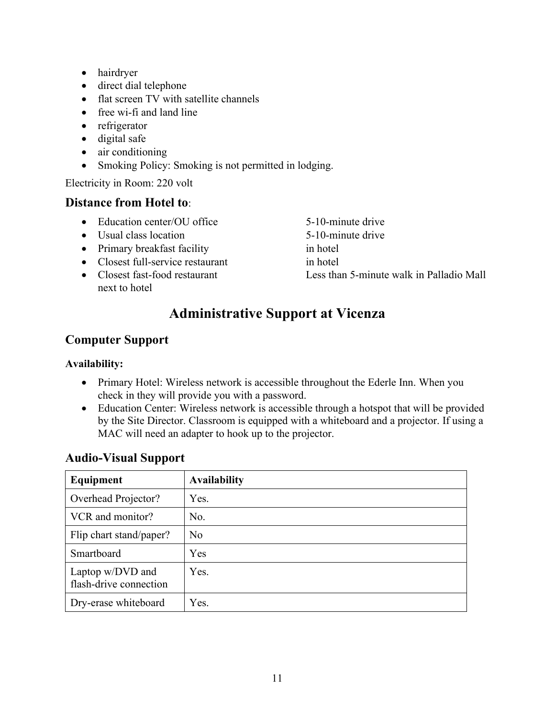- hairdryer
- direct dial telephone
- flat screen TV with satellite channels
- free wi-fi and land line
- refrigerator
- digital safe
- air conditioning
- Smoking Policy: Smoking is not permitted in lodging.

Electricity in Room: 220 volt

#### **Distance from Hotel to**:

- Education center/OU office 5-10-minute drive
- Usual class location 5-10-minute drive
- Primary breakfast facility in hotel
- Closest full-service restaurant in hotel
- next to hotel
- 
- 
- 
- 
- Closest fast-food restaurant Less than 5-minute walk in Palladio Mall

# **Administrative Support at Vicenza**

## **Computer Support**

#### **Availability:**

- Primary Hotel: Wireless network is accessible throughout the Ederle Inn. When you check in they will provide you with a password.
- Education Center: Wireless network is accessible through a hotspot that will be provided by the Site Director. Classroom is equipped with a whiteboard and a projector. If using a MAC will need an adapter to hook up to the projector.

| Equipment                                  | <b>Availability</b> |
|--------------------------------------------|---------------------|
| Overhead Projector?                        | Yes.                |
| VCR and monitor?                           | No.                 |
| Flip chart stand/paper?                    | N <sub>o</sub>      |
| Smartboard                                 | Yes                 |
| Laptop w/DVD and<br>flash-drive connection | Yes.                |
| Dry-erase whiteboard                       | Yes.                |

## **Audio-Visual Support**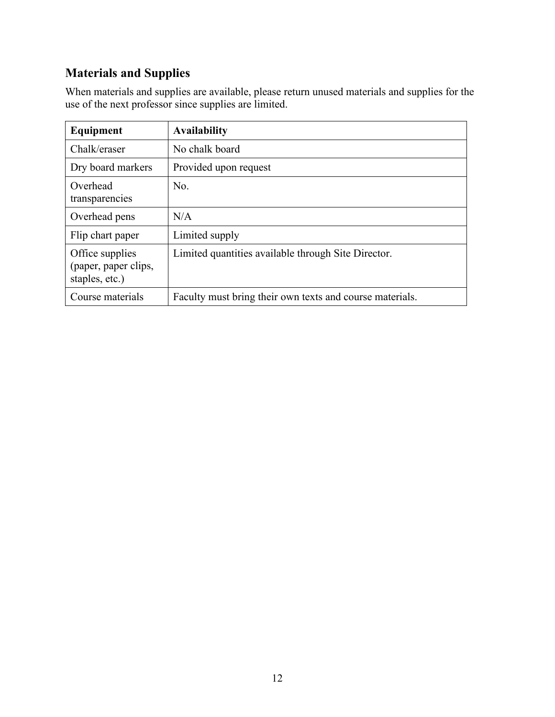# **Materials and Supplies**

When materials and supplies are available, please return unused materials and supplies for the use of the next professor since supplies are limited.

| Equipment                                                 | <b>Availability</b>                                      |
|-----------------------------------------------------------|----------------------------------------------------------|
| Chalk/eraser                                              | No chalk board                                           |
| Dry board markers                                         | Provided upon request                                    |
| Overhead<br>transparencies                                | No.                                                      |
| Overhead pens                                             | N/A                                                      |
| Flip chart paper                                          | Limited supply                                           |
| Office supplies<br>(paper, paper clips,<br>staples, etc.) | Limited quantities available through Site Director.      |
| Course materials                                          | Faculty must bring their own texts and course materials. |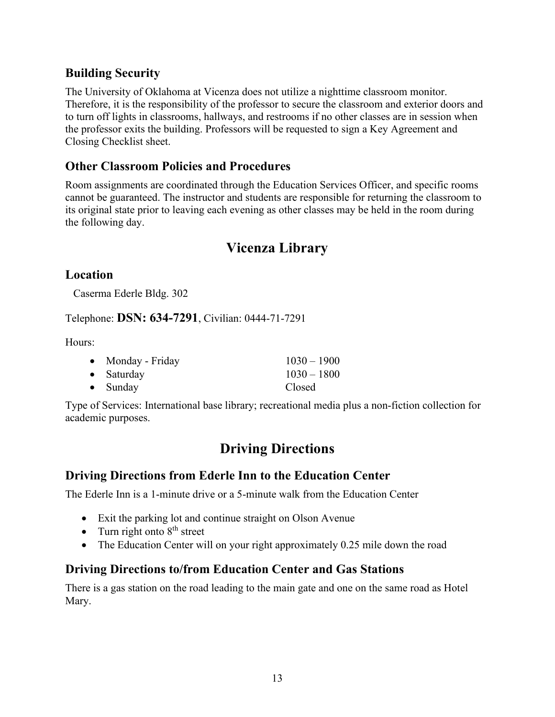## **Building Security**

The University of Oklahoma at Vicenza does not utilize a nighttime classroom monitor. Therefore, it is the responsibility of the professor to secure the classroom and exterior doors and to turn off lights in classrooms, hallways, and restrooms if no other classes are in session when the professor exits the building. Professors will be requested to sign a Key Agreement and Closing Checklist sheet.

## **Other Classroom Policies and Procedures**

Room assignments are coordinated through the Education Services Officer, and specific rooms cannot be guaranteed. The instructor and students are responsible for returning the classroom to its original state prior to leaving each evening as other classes may be held in the room during the following day.

## **Vicenza Library**

## **Location**

Caserma Ederle Bldg. 302

Telephone: **DSN: 634-7291**, Civilian: 0444-71-7291

Hours:

| • Monday - Friday  | $1030 - 1900$ |
|--------------------|---------------|
| $\bullet$ Saturday | $1030 - 1800$ |
| $\bullet$ Sunday   | Closed        |

Type of Services: International base library; recreational media plus a non-fiction collection for academic purposes.

## **Driving Directions**

## **Driving Directions from Ederle Inn to the Education Center**

The Ederle Inn is a 1-minute drive or a 5-minute walk from the Education Center

- Exit the parking lot and continue straight on Olson Avenue
- Turn right onto  $8<sup>th</sup>$  street
- The Education Center will on your right approximately 0.25 mile down the road

## **Driving Directions to/from Education Center and Gas Stations**

There is a gas station on the road leading to the main gate and one on the same road as Hotel Mary.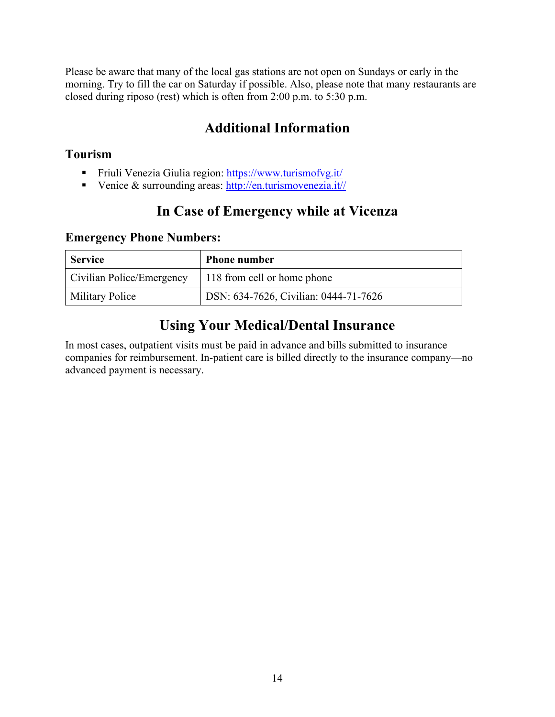Please be aware that many of the local gas stations are not open on Sundays or early in the morning. Try to fill the car on Saturday if possible. Also, please note that many restaurants are closed during riposo (rest) which is often from 2:00 p.m. to 5:30 p.m.

# **Additional Information**

## **Tourism**

- Friuli Venezia Giulia region:<https://www.turismofvg.it/>
- Venice & surrounding areas:  $\frac{http://en.turismovenezia.it//}{$

# **In Case of Emergency while at Vicenza**

#### **Emergency Phone Numbers:**

| <b>Service</b>            | <b>Phone number</b>                   |
|---------------------------|---------------------------------------|
| Civilian Police/Emergency | 118 from cell or home phone           |
| <b>Military Police</b>    | DSN: 634-7626, Civilian: 0444-71-7626 |

## **Using Your Medical/Dental Insurance**

In most cases, outpatient visits must be paid in advance and bills submitted to insurance companies for reimbursement. In-patient care is billed directly to the insurance company—no advanced payment is necessary.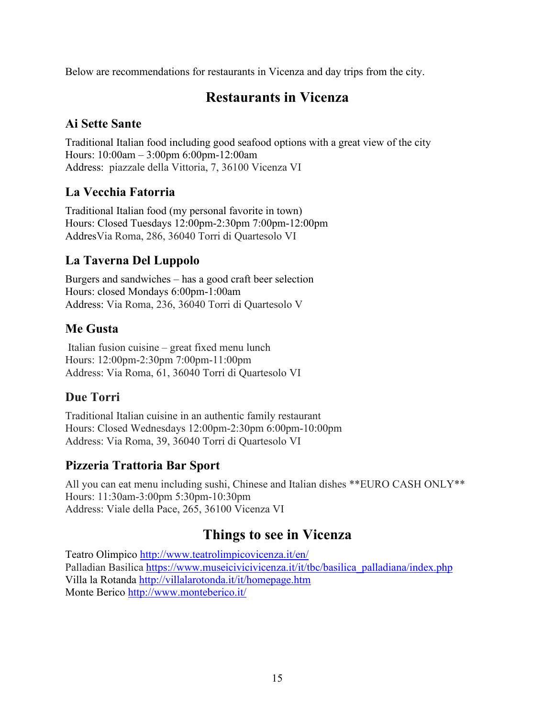Below are recommendations for restaurants in Vicenza and day trips from the city.

## **Restaurants in Vicenza**

## **Ai Sette Sante**

Traditional Italian food including good seafood options with a great view of the city Hours: 10:00am – 3:00pm 6:00pm-12:00am Address: piazzale della Vittoria, 7, 36100 Vicenza VI

## **La Vecchia Fatorria**

Traditional Italian food (my personal favorite in town) Hours: Closed Tuesdays 12:00pm-2:30pm 7:00pm-12:00pm AddresVia Roma, 286, 36040 Torri di Quartesolo VI

## **La Taverna Del Luppolo**

Burgers and sandwiches – has a good craft beer selection Hours: closed Mondays 6:00pm-1:00am Address: Via Roma, 236, 36040 Torri di Quartesolo V

## **Me Gusta**

Italian fusion cuisine – great fixed menu lunch Hours: 12:00pm-2:30pm 7:00pm-11:00pm Address: Via Roma, 61, 36040 Torri di Quartesolo VI

## **Due Torri**

Traditional Italian cuisine in an authentic family restaurant Hours: Closed Wednesdays 12:00pm-2:30pm 6:00pm-10:00pm Address: Via Roma, 39, 36040 Torri di Quartesolo VI

## **Pizzeria Trattoria Bar Sport**

All you can eat menu including sushi, Chinese and Italian dishes \*\*EURO CASH ONLY\*\* Hours: 11:30am-3:00pm 5:30pm-10:30pm Address: Viale della Pace, 265, 36100 Vicenza VI

## **Things to see in Vicenza**

Teatro Olimpico<http://www.teatrolimpicovicenza.it/en/> Palladian Basilica [https://www.museicivicivicenza.it/it/tbc/basilica\\_palladiana/index.php](https://www.museicivicivicenza.it/it/tbc/basilica_palladiana/index.php) Villa la Rotanda<http://villalarotonda.it/it/homepage.htm> Monte Berico<http://www.monteberico.it/>